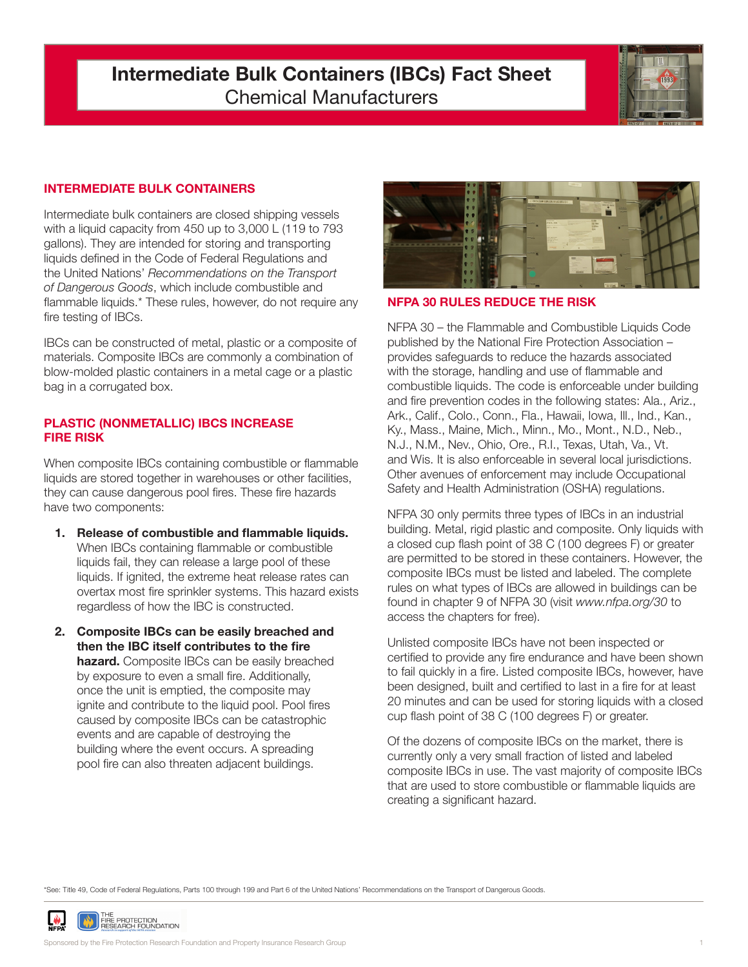# **Intermediate Bulk Containers (IBCs) Fact Sheet** Chemical Manufacturers



## **INTERMEDIATE BULK CONTAINERS**

Intermediate bulk containers are closed shipping vessels with a liquid capacity from 450 up to 3,000 L (119 to 793 gallons). They are intended for storing and transporting liquids defined in the Code of Federal Regulations and the United Nations' *Recommendations on the Transport of Dangerous Goods*, which include combustible and flammable liquids.\* These rules, however, do not require any fire testing of IBCs.

IBCs can be constructed of metal, plastic or a composite of materials. Composite IBCs are commonly a combination of blow-molded plastic containers in a metal cage or a plastic bag in a corrugated box.

#### **PLASTIC (NONMETALLIC) IBCS INCREASE FIRE RISK**

When composite IBCs containing combustible or flammable liquids are stored together in warehouses or other facilities, they can cause dangerous pool fires. These fire hazards have two components:

- **1. Release of combustible and flammable liquids.** When IBCs containing flammable or combustible liquids fail, they can release a large pool of these liquids. If ignited, the extreme heat release rates can overtax most fire sprinkler systems. This hazard exists regardless of how the IBC is constructed.
- **2. Composite IBCs can be easily breached and then the IBC itself contributes to the fire hazard.** Composite IBCs can be easily breached by exposure to even a small fire. Additionally, once the unit is emptied, the composite may ignite and contribute to the liquid pool. Pool fires caused by composite IBCs can be catastrophic events and are capable of destroying the building where the event occurs. A spreading pool fire can also threaten adjacent buildings.



**NFPA 30 RULES REDUCE THE RISK**

NFPA 30 – the Flammable and Combustible Liquids Code published by the National Fire Protection Association – provides safeguards to reduce the hazards associated with the storage, handling and use of flammable and combustible liquids. The code is enforceable under building and fire prevention codes in the following states: Ala., Ariz., Ark., Calif., Colo., Conn., Fla., Hawaii, Iowa, Ill., Ind., Kan., Ky., Mass., Maine, Mich., Minn., Mo., Mont., N.D., Neb., N.J., N.M., Nev., Ohio, Ore., R.I., Texas, Utah, Va., Vt. and Wis. It is also enforceable in several local jurisdictions. Other avenues of enforcement may include Occupational Safety and Health Administration (OSHA) regulations.

NFPA 30 only permits three types of IBCs in an industrial building. Metal, rigid plastic and composite. Only liquids with a closed cup flash point of 38 C (100 degrees F) or greater are permitted to be stored in these containers. However, the composite IBCs must be listed and labeled. The complete rules on what types of IBCs are allowed in buildings can be found in chapter 9 of NFPA 30 (visit *www.nfpa.org/30* to access the chapters for free).

Unlisted composite IBCs have not been inspected or certified to provide any fire endurance and have been shown to fail quickly in a fire. Listed composite IBCs, however, have been designed, built and certified to last in a fire for at least 20 minutes and can be used for storing liquids with a closed cup flash point of 38 C (100 degrees F) or greater.

Of the dozens of composite IBCs on the market, there is currently only a very small fraction of listed and labeled composite IBCs in use. The vast majority of composite IBCs that are used to store combustible or flammable liquids are creating a significant hazard.

\*See: Title 49, Code of Federal Regulations, Parts 100 through 199 and Part 6 of the United Nations' Recommendations on the Transport of Dangerous Goods.